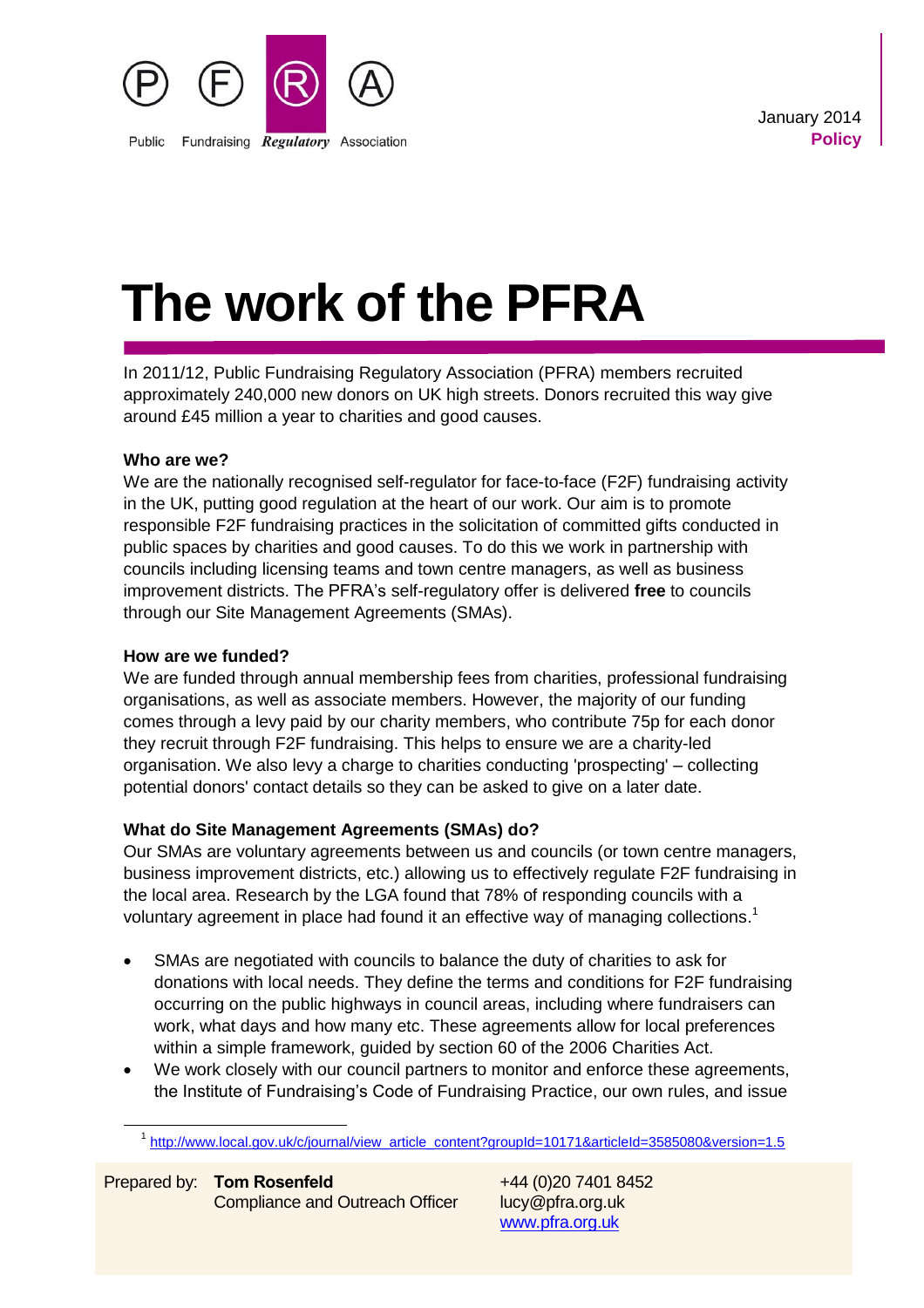

 January 2014 **Policy** 

# **The work of the PFRA**

In 2011/12, Public Fundraising Regulatory Association (PFRA) members recruited approximately 240,000 new donors on UK high streets. Donors recruited this way give around £45 million a year to charities and good causes.

# **Who are we?**

We are the nationally recognised self-regulator for face-to-face (F2F) fundraising activity in the UK, putting good regulation at the heart of our work. Our aim is to promote responsible F2F fundraising practices in the solicitation of committed gifts conducted in public spaces by charities and good causes. To do this we work in partnership with councils including licensing teams and town centre managers, as well as business improvement districts. The PFRA's self-regulatory offer is delivered **free** to councils through our Site Management Agreements (SMAs).

## **How are we funded?**

We are funded through annual membership fees from charities, professional fundraising organisations, as well as associate members. However, the majority of our funding comes through a levy paid by our charity members, who contribute 75p for each donor they recruit through F2F fundraising. This helps to ensure we are a charity-led organisation. We also levy a charge to charities conducting 'prospecting' – collecting potential donors' contact details so they can be asked to give on a later date.

# **What do Site Management Agreements (SMAs) do?**

Our SMAs are voluntary agreements between us and councils (or town centre managers, business improvement districts, etc.) allowing us to effectively regulate F2F fundraising in the local area. Research by the LGA found that 78% of responding councils with a voluntary agreement in place had found it an effective way of managing collections.<sup>1</sup>

- SMAs are negotiated with councils to balance the duty of charities to ask for donations with local needs. They define the terms and conditions for F2F fundraising occurring on the public highways in council areas, including where fundraisers can work, what days and how many etc. These agreements allow for local preferences within a simple framework, guided by section 60 of the 2006 Charities Act.
- We work closely with our council partners to monitor and enforce these agreements, the Institute of Fundraising's Code of Fundraising Practice, our own rules, and issue

-

[www.pfra.org.uk](http://www.pfra.org.uk/)

<sup>&</sup>lt;sup>1</sup> [http://www.local.gov.uk/c/journal/view\\_article\\_content?groupId=10171&articleId=3585080&version=1.5](http://www.local.gov.uk/c/journal/view_article_content?groupId=10171&articleId=3585080&version=1.5)